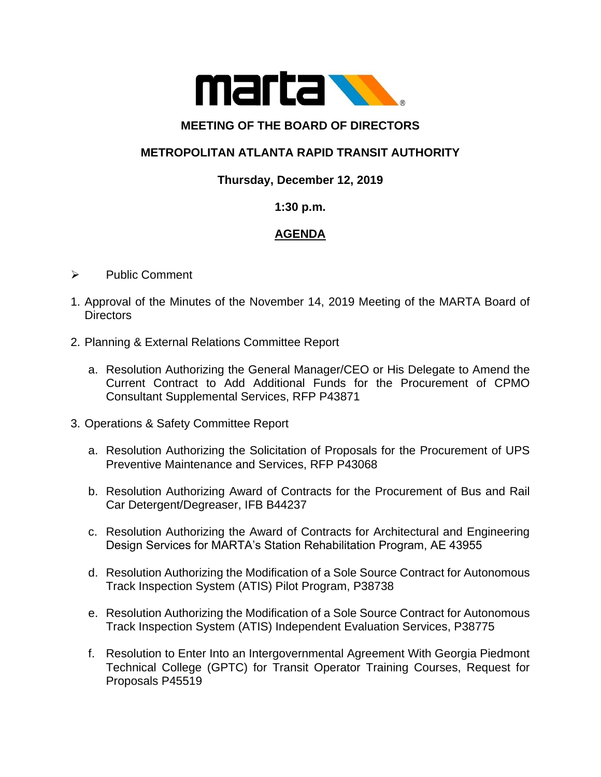

### **MEETING OF THE BOARD OF DIRECTORS**

# **METROPOLITAN ATLANTA RAPID TRANSIT AUTHORITY**

### **Thursday, December 12, 2019**

#### **1:30 p.m.**

## **AGENDA**

- ➢ Public Comment
- 1. Approval of the Minutes of the November 14, 2019 Meeting of the MARTA Board of **Directors**
- 2. Planning & External Relations Committee Report
	- a. Resolution Authorizing the General Manager/CEO or His Delegate to Amend the Current Contract to Add Additional Funds for the Procurement of CPMO Consultant Supplemental Services, RFP P43871
- 3. Operations & Safety Committee Report
	- a. Resolution Authorizing the Solicitation of Proposals for the Procurement of UPS Preventive Maintenance and Services, RFP P43068
	- b. Resolution Authorizing Award of Contracts for the Procurement of Bus and Rail Car Detergent/Degreaser, IFB B44237
	- c. Resolution Authorizing the Award of Contracts for Architectural and Engineering Design Services for MARTA's Station Rehabilitation Program, AE 43955
	- d. Resolution Authorizing the Modification of a Sole Source Contract for Autonomous Track Inspection System (ATIS) Pilot Program, P38738
	- e. Resolution Authorizing the Modification of a Sole Source Contract for Autonomous Track Inspection System (ATIS) Independent Evaluation Services, P38775
	- f. Resolution to Enter Into an Intergovernmental Agreement With Georgia Piedmont Technical College (GPTC) for Transit Operator Training Courses, Request for Proposals P45519